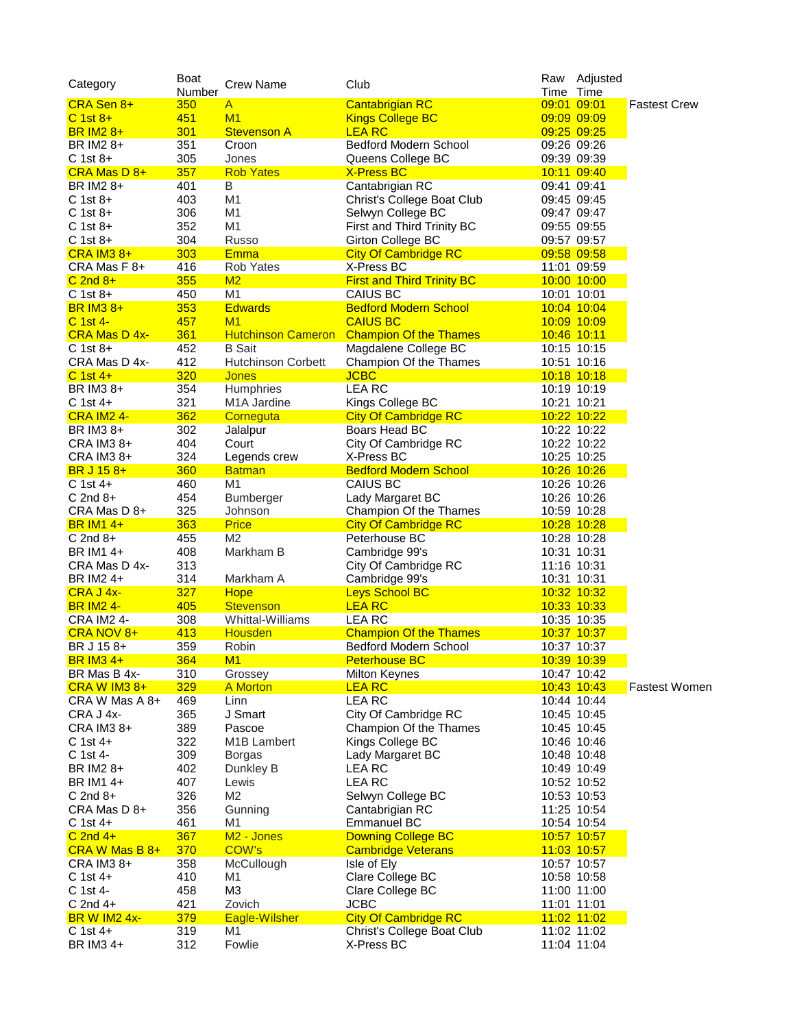| Category                      | Boat<br>Number | Crew Name                 | Club                              | Time Time   | Raw Adjusted       |                      |
|-------------------------------|----------------|---------------------------|-----------------------------------|-------------|--------------------|----------------------|
| CRA Sen 8+                    | 350            | $\mathsf{A}$              | <b>Cantabrigian RC</b>            | 09:01 09:01 |                    | <b>Fastest Crew</b>  |
| $C$ 1st $8+$                  | 451            | M1                        | <b>Kings College BC</b>           |             | 09:09 09:09        |                      |
| <b>BR IM2 8+</b>              | 301            | <b>Stevenson A</b>        | <b>LEA RC</b>                     |             | 09:25 09:25        |                      |
| BR IM2 8+                     | 351            | Croon                     | Bedford Modern School             |             | 09:26 09:26        |                      |
| C 1st 8+                      | 305            | Jones                     | Queens College BC                 |             | 09:39 09:39        |                      |
| CRA Mas D 8+                  | 357            | <b>Rob Yates</b>          | <b>X-Press BC</b>                 |             | 10:11 09:40        |                      |
| BR IM2 8+                     | 401            | B                         | Cantabrigian RC                   |             | 09:41 09:41        |                      |
| C 1st 8+                      | 403            | M <sub>1</sub>            | Christ's College Boat Club        |             | 09:45 09:45        |                      |
| $C$ 1st 8+                    | 306            | M <sub>1</sub>            | Selwyn College BC                 |             | 09:47 09:47        |                      |
| $C$ 1st 8+                    | 352            | M1                        | First and Third Trinity BC        |             | 09:55 09:55        |                      |
|                               | 304            | Russo                     |                                   |             |                    |                      |
| C 1st 8+<br><b>CRA IM3 8+</b> |                | <b>Emma</b>               | Girton College BC                 |             | 09:57 09:57        |                      |
|                               | 303            |                           | <b>City Of Cambridge RC</b>       |             | 09:58 09:58        |                      |
| CRA Mas F 8+                  | 416            | Rob Yates                 | X-Press BC                        |             | 11:01 09:59        |                      |
| $C$ 2nd $8+$                  | 355            | M2                        | <b>First and Third Trinity BC</b> |             | 10:00 10:00        |                      |
| $C$ 1st 8+                    | 450            | M <sub>1</sub>            | CAIUS BC                          |             | 10:01 10:01        |                      |
| <b>BR IM3 8+</b>              | 353            | <b>Edwards</b>            | <b>Bedford Modern School</b>      |             | 10:04 10:04        |                      |
| <u>C 1st 4-</u>               | 457            | M1                        | <b>CAIUS BC</b>                   |             | 10:09 10:09        |                      |
| <b>CRA Mas D 4x-</b>          | 361            | <b>Hutchinson Cameron</b> | <b>Champion Of the Thames</b>     |             | 10:46 10:11        |                      |
| C 1st 8+                      | 452            | <b>B</b> Sait             | Magdalene College BC              |             | 10:15 10:15        |                      |
| CRA Mas D 4x-                 | 412            | <b>Hutchinson Corbett</b> | Champion Of the Thames            |             | 10:51 10:16        |                      |
| $C$ 1st 4+                    | 320            | <b>Jones</b>              | <b>JCBC</b>                       |             | 10:18 10:18        |                      |
| BR IM3 8+                     | 354            | Humphries                 | <b>LEARC</b>                      |             | 10:19 10:19        |                      |
| $C$ 1st 4+                    | 321            | M <sub>1</sub> A Jardine  | Kings College BC                  |             | 10:21 10:21        |                      |
| <b>CRA IM2 4-</b>             | 362            | Corneguta                 | <b>City Of Cambridge RC</b>       |             | 10:22 10:22        |                      |
| BR IM3 8+                     | 302            | Jalalpur                  | Boars Head BC                     |             | 10:22 10:22        |                      |
| CRA IM3 8+                    | 404            | Court                     | City Of Cambridge RC              |             | 10:22 10:22        |                      |
| CRA IM3 8+                    | 324            | Legends crew              | X-Press BC                        |             | 10:25 10:25        |                      |
| BR J 15 8+                    | 360            | <b>Batman</b>             | <b>Bedford Modern School</b>      |             | 10:26 10:26        |                      |
| $C$ 1st 4+                    | 460            | M1                        | CAIUS BC                          |             | 10:26 10:26        |                      |
| $C$ 2nd $8+$                  | 454            | Bumberger                 | Lady Margaret BC                  |             | 10:26 10:26        |                      |
| CRA Mas D 8+                  | 325            | Johnson                   | Champion Of the Thames            |             | 10:59 10:28        |                      |
| <b>BR IM1 4+</b>              | 363            | <b>Price</b>              | <b>City Of Cambridge RC</b>       |             | 10:28 10:28        |                      |
| $C$ 2nd 8+                    | 455            | M <sub>2</sub>            | Peterhouse BC                     |             | 10:28 10:28        |                      |
| BR IM1 4+                     | 408            | Markham B                 | Cambridge 99's                    |             | 10:31 10:31        |                      |
| CRA Mas D 4x-                 | 313            |                           | City Of Cambridge RC              |             | 11:16 10:31        |                      |
| BR IM2 4+                     | 314            | Markham A                 | Cambridge 99's                    |             | 10:31 10:31        |                      |
| CRA J 4x-                     | 327            | <b>Hope</b>               | <b>Leys School BC</b>             |             | 10:32 10:32        |                      |
| <b>BR IM2 4-</b>              | 405            | <b>Stevenson</b>          | <b>LEA RC</b>                     |             | 10:33 10:33        |                      |
| <b>CRA IM2 4-</b>             | 308            | Whittal-Williams          | LEA RC                            |             | 10:35 10:35        |                      |
| CRA NOV 8+                    | 413            | <b>Housden</b>            | <b>Champion Of the Thames</b>     |             | 10:37 10:37        |                      |
| BR J 15 8+                    | 359            | Robin                     | Bedford Modern School             |             | 10:37 10:37        |                      |
| <b>BR IM3 4+</b>              | 364            | M1                        | <b>Peterhouse BC</b>              |             | 10:39 10:39        |                      |
| BR Mas B 4x-                  | 310            | Grossey                   | <b>Milton Keynes</b>              |             | 10:47 10:42        |                      |
| <b>CRA W IM3 8+</b>           | 329            | A Morton                  | <b>LEA RC</b>                     |             | 10:43 10:43        | <b>Fastest Women</b> |
| CRA W Mas A 8+                | 469            | Linn                      | LEA RC                            |             | 10:44 10:44        |                      |
| CRA J 4x-                     | 365            | J Smart                   | City Of Cambridge RC              |             | 10:45 10:45        |                      |
| CRA IM3 8+                    | 389            | Pascoe                    | Champion Of the Thames            |             | 10:45 10:45        |                      |
| $C$ 1st 4+                    | 322            | M <sub>1</sub> B Lambert  | Kings College BC                  |             | 10:46 10:46        |                      |
| C 1st 4-                      | 309            | <b>Borgas</b>             | Lady Margaret BC                  |             | 10:48 10:48        |                      |
| BR IM2 8+                     | 402            | Dunkley B                 | LEA RC                            |             | 10:49 10:49        |                      |
| BR IM1 4+                     | 407            | Lewis                     | <b>LEA RC</b>                     |             | 10:52 10:52        |                      |
| $C$ 2nd $8+$                  | 326            | M <sub>2</sub>            | Selwyn College BC                 |             | 10:53 10:53        |                      |
| CRA Mas D 8+                  | 356            | Gunning                   | Cantabrigian RC                   |             | 11:25 10:54        |                      |
| $C$ 1st 4+                    | 461            | M1                        | <b>Emmanuel BC</b>                |             |                    |                      |
|                               |                |                           |                                   |             | 10:54 10:54        |                      |
| $C$ 2nd 4+                    | 367            | M <sub>2</sub> - Jones    | <b>Downing College BC</b>         |             | 10:57 10:57        |                      |
| CRA W Mas B 8+                | 370            | COW's                     | <b>Cambridge Veterans</b>         |             | 11:03 10:57        |                      |
| CRA IM3 8+                    | 358            | McCullough                | Isle of Ely                       |             | 10:57 10:57        |                      |
| $C$ 1st 4+                    | 410            | M1                        | Clare College BC                  |             | 10:58 10:58        |                      |
| C 1st 4-                      | 458            | M <sub>3</sub>            | Clare College BC                  |             | 11:00 11:00        |                      |
| $C$ 2nd 4+                    | 421            | Zovich                    | <b>JCBC</b>                       |             | 11:01 11:01        |                      |
| <b>BR W IM2 4x-</b>           | 379            | Eagle-Wilsher             | <b>City Of Cambridge RC</b>       |             | <u>11:02 11:02</u> |                      |
| $C$ 1st 4+                    | 319            | M1                        | Christ's College Boat Club        |             | 11:02 11:02        |                      |
| BR IM3 4+                     | 312            | Fowlie                    | X-Press BC                        |             | 11:04 11:04        |                      |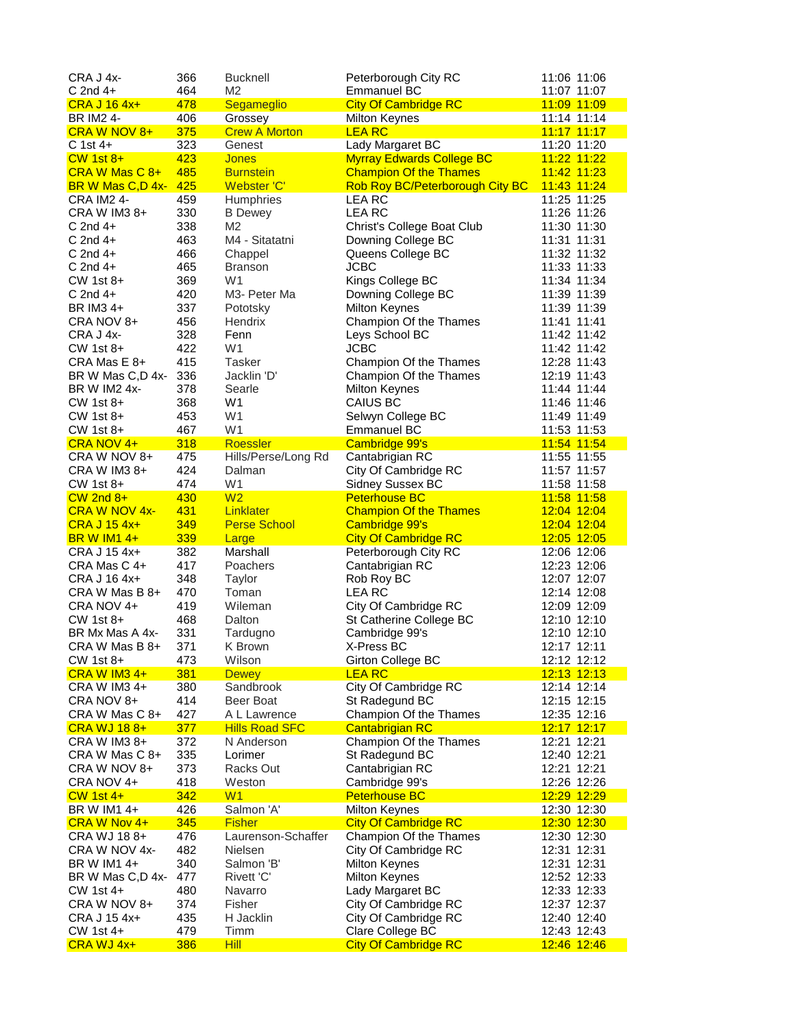| CRA J 4x-                      | 366        | <b>Bucknell</b>                     | Peterborough City RC                  | 11:06 11:06                |
|--------------------------------|------------|-------------------------------------|---------------------------------------|----------------------------|
| $C$ 2nd 4+                     | 464        | M2                                  | <b>Emmanuel BC</b>                    | 11:07 11:07                |
| <b>CRA J 16 4x+</b>            | 478        | Segameglio                          | <b>City Of Cambridge RC</b>           | 11:09 11:09                |
| BR IM2 4-                      | 406        | Grossey                             | Milton Keynes                         | 11:14 11:14                |
| CRA W NOV 8+                   | 375        | <b>Crew A Morton</b>                | <b>LEA RC</b>                         | 11:17 11:17                |
| $C$ 1st 4+                     | 323        | Genest                              | Lady Margaret BC                      | 11:20 11:20                |
| $CW$ 1st $8+$                  | 423        | <b>Jones</b>                        | <b>Myrray Edwards College BC</b>      | 11:22 11:22                |
| CRA W Mas C 8+                 | 485        | <b>Burnstein</b>                    | <b>Champion Of the Thames</b>         | 11:42 11:23                |
| BR W Mas C,D 4x-               | 425        | Webster 'C'                         | Rob Roy BC/Peterborough City BC       | 11:43 11:24                |
| <b>CRA IM2 4-</b>              | 459        | <b>Humphries</b>                    | LEA RC                                | 11:25 11:25                |
| CRA W IM3 8+                   | 330        | <b>B</b> Dewey                      | <b>LEA RC</b>                         | 11:26 11:26                |
| $C$ 2nd 4+                     | 338        | M <sub>2</sub>                      | Christ's College Boat Club            | 11:30 11:30                |
| $C$ 2nd 4+                     | 463        | M4 - Sitatatni                      | Downing College BC                    | 11:31 11:31                |
| $C$ 2nd 4+                     | 466        | Chappel                             | Queens College BC                     | 11:32 11:32                |
| $C$ 2nd 4+                     | 465        | <b>Branson</b>                      | <b>JCBC</b>                           | 11:33 11:33                |
| CW 1st 8+                      | 369        | W <sub>1</sub>                      | Kings College BC                      | 11:34 11:34                |
| $C$ 2nd 4+                     | 420        | M3- Peter Ma                        | Downing College BC                    | 11:39 11:39                |
| BR IM3 4+                      | 337        | Pototsky                            | <b>Milton Keynes</b>                  | 11:39 11:39                |
| CRA NOV 8+                     | 456        | Hendrix                             | Champion Of the Thames                | 11:41 11:41                |
| CRA J 4x-                      | 328        | Fenn                                | Leys School BC                        | 11:42 11:42                |
| CW 1st 8+                      | 422        | W <sub>1</sub>                      | <b>JCBC</b>                           | 11:42 11:42                |
| CRA Mas E 8+                   | 415        | <b>Tasker</b>                       | Champion Of the Thames                | 12:28 11:43                |
| BR W Mas C,D 4x-               | 336        | Jacklin 'D'                         | Champion Of the Thames                | 12:19 11:43                |
| BR W IM2 4x-                   | 378        | Searle                              | Milton Keynes                         | 11:44 11:44                |
| CW 1st 8+                      | 368        | W <sub>1</sub>                      | CAIUS BC                              | 11:46 11:46                |
| CW 1st 8+                      | 453        | W <sub>1</sub>                      | Selwyn College BC                     | 11:49 11:49                |
| CW 1st 8+                      | 467        | W <sub>1</sub>                      | <b>Emmanuel BC</b>                    | 11:53 11:53                |
| CRA NOV 4+                     | 318        | Roessler                            | Cambridge 99's                        | 11:54 11:54                |
| CRA W NOV 8+                   | 475        | Hills/Perse/Long Rd                 | Cantabrigian RC                       | 11:55 11:55                |
| CRA W IM3 8+                   | 424        | Dalman                              | City Of Cambridge RC                  | 11:57 11:57                |
| CW 1st 8+                      | 474        | W <sub>1</sub>                      | <b>Sidney Sussex BC</b>               | 11:58 11:58                |
| $CW$ 2nd $8+$                  | 430        | W <sub>2</sub>                      | <b>Peterhouse BC</b>                  | 11:58 11:58                |
| <b>CRA W NOV 4x-</b>           | 431        | Linklater                           | <b>Champion Of the Thames</b>         | 12:04 12:04                |
| <b>CRA J 15 4x+</b>            | 349        | <b>Perse School</b>                 | Cambridge 99's                        | 12:04 12:04                |
| <b>BRW IM14+</b>               | 339        | Large                               | <b>City Of Cambridge RC</b>           | 12:05 12:05                |
| CRA J 15 4x+                   | 382        | Marshall                            | Peterborough City RC                  | 12:06 12:06                |
| CRA Mas C 4+                   | 417        | Poachers                            | Cantabrigian RC                       | 12:23 12:06                |
| CRA J 16 4x+                   | 348        | Taylor                              | Rob Roy BC                            | 12:07 12:07                |
| CRA W Mas B 8+                 | 470        | Toman                               | <b>LEA RC</b>                         | 12:14 12:08                |
| CRA NOV 4+                     | 419        | Wileman                             | City Of Cambridge RC                  | 12:09 12:09                |
| CW 1st 8+                      | 468        | Dalton                              | St Catherine College BC               | 12:10 12:10                |
| BR Mx Mas A 4x-                | 331        | Tardugno                            | Cambridge 99's                        | 12:10 12:10                |
| CRA W Mas B 8+                 | 371        | K Brown                             | X-Press BC                            | 12:17 12:11                |
| CW 1st 8+                      | 473        | Wilson                              | Girton College BC                     | 12:12 12:12                |
| <b>CRA W IM3 4+</b>            | 381        | <b>Dewey</b>                        | <b>LEA RC</b>                         | 12:13 12:13                |
| CRA W IM3 4+                   | 380        | Sandbrook                           | City Of Cambridge RC                  | 12:14 12:14                |
| CRA NOV 8+                     | 414        | Beer Boat                           | St Radegund BC                        | 12:15 12:15                |
| CRA W Mas C 8+                 | 427        | A L Lawrence                        | Champion Of the Thames                | 12:35 12:16                |
| <b>CRA WJ 188+</b>             | 377        | <b>Hills Road SFC</b>               | <b>Cantabrigian RC</b>                | 12:17 12:17                |
| CRA W IM3 8+                   | 372        | N Anderson                          | Champion Of the Thames                | 12:21 12:21                |
| CRA W Mas C 8+<br>CRA W NOV 8+ | 335        | Lorimer<br>Racks Out                | St Radegund BC                        | 12:40 12:21                |
|                                | 373        |                                     | Cantabrigian RC                       | 12:21 12:21                |
| CRA NOV 4+                     | 418<br>342 | Weston<br>W1                        | Cambridge 99's                        | 12:26 12:26<br>12:29 12:29 |
| $CW$ 1st 4+<br>BR W IM1 4+     | 426        | Salmon 'A'                          | <b>Peterhouse BC</b><br>Milton Keynes | 12:30 12:30                |
|                                | 345        |                                     | <b>City Of Cambridge RC</b>           |                            |
| CRA W Nov 4+<br>CRA WJ 188+    | 476        | <b>Fisher</b><br>Laurenson-Schaffer | Champion Of the Thames                | 12:30 12:30<br>12:30 12:30 |
| CRA W NOV 4x-                  | 482        | <b>Nielsen</b>                      | City Of Cambridge RC                  | 12:31 12:31                |
| BR W IM1 4+                    | 340        | Salmon 'B'                          | Milton Keynes                         | 12:31 12:31                |
| BR W Mas C,D 4x-               | 477        | Rivett 'C'                          | Milton Keynes                         | 12:52 12:33                |
| CW 1st 4+                      | 480        | Navarro                             | Lady Margaret BC                      | 12:33 12:33                |
| CRA W NOV 8+                   | 374        | Fisher                              | City Of Cambridge RC                  | 12:37 12:37                |
| CRA J 15 4x+                   | 435        | H Jacklin                           | City Of Cambridge RC                  | 12:40 12:40                |
| CW 1st 4+                      | 479        | Timm                                | Clare College BC                      | 12:43 12:43                |
| CRA WJ 4x+                     | 386        | Hill                                | <b>City Of Cambridge RC</b>           | 12:46 12:46                |
|                                |            |                                     |                                       |                            |